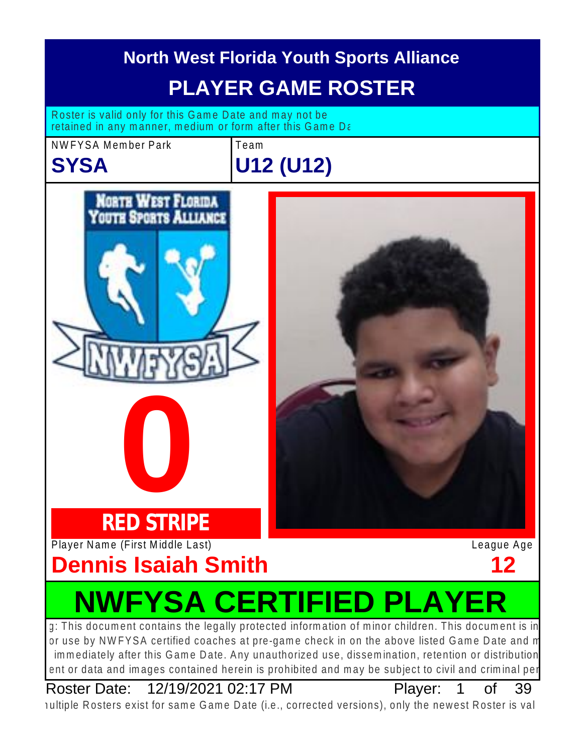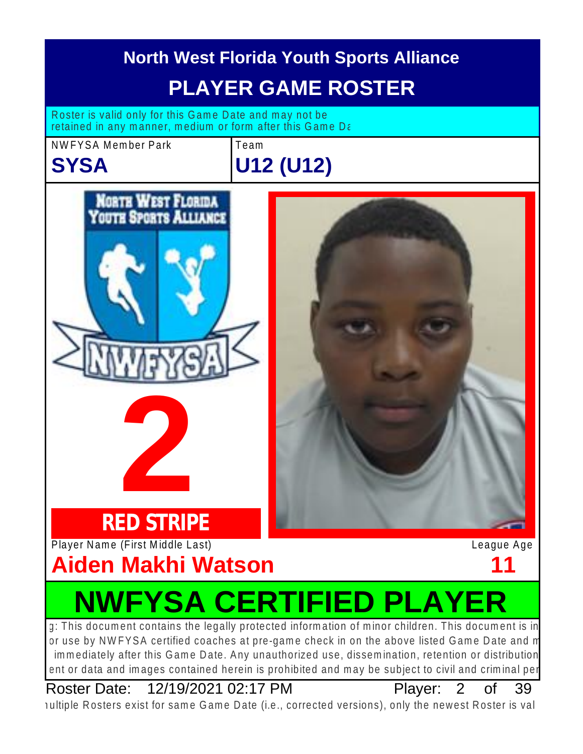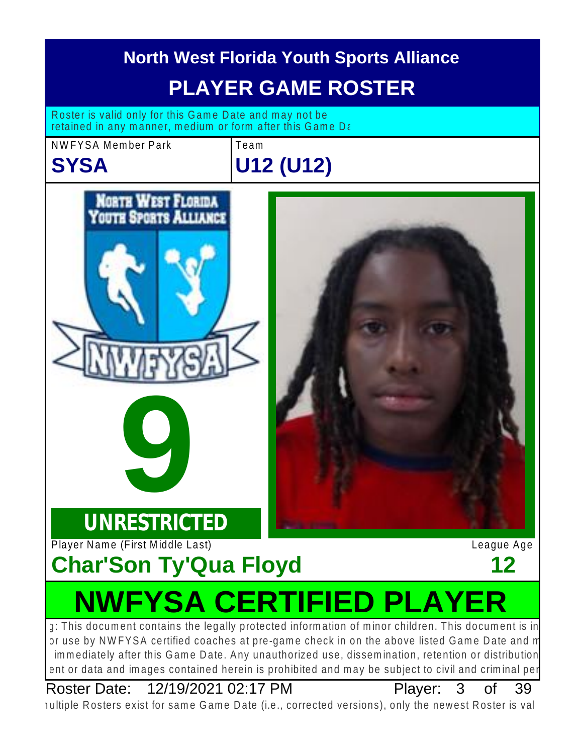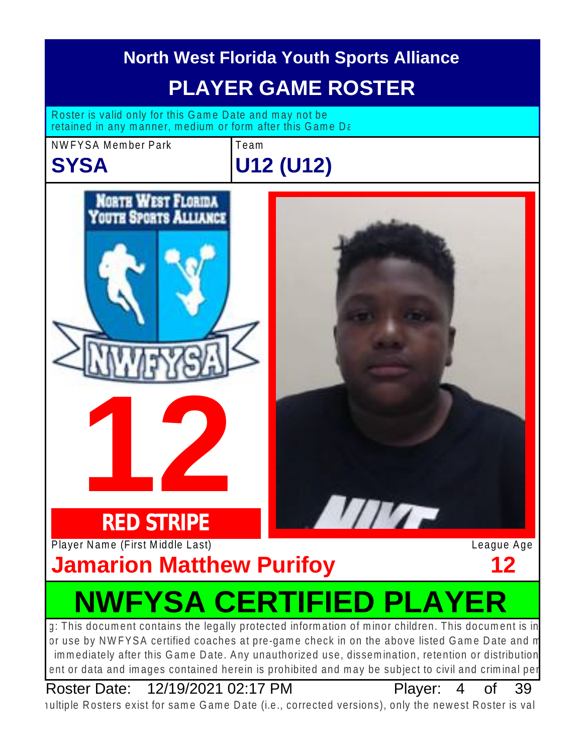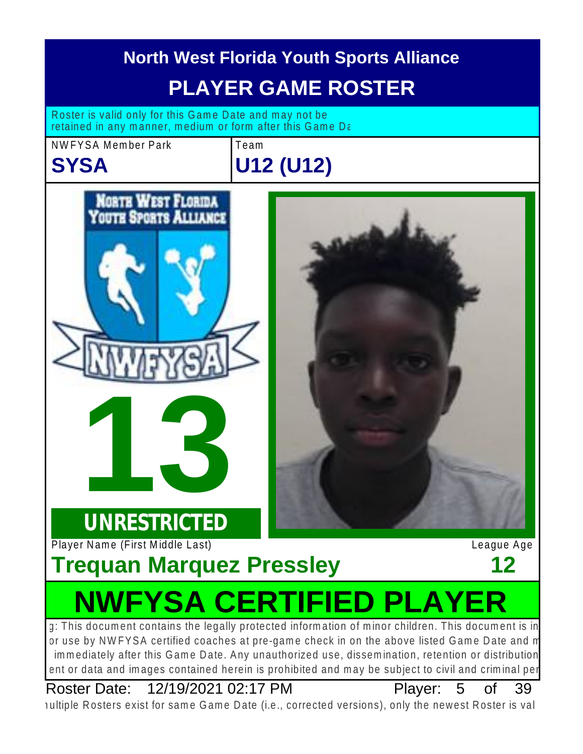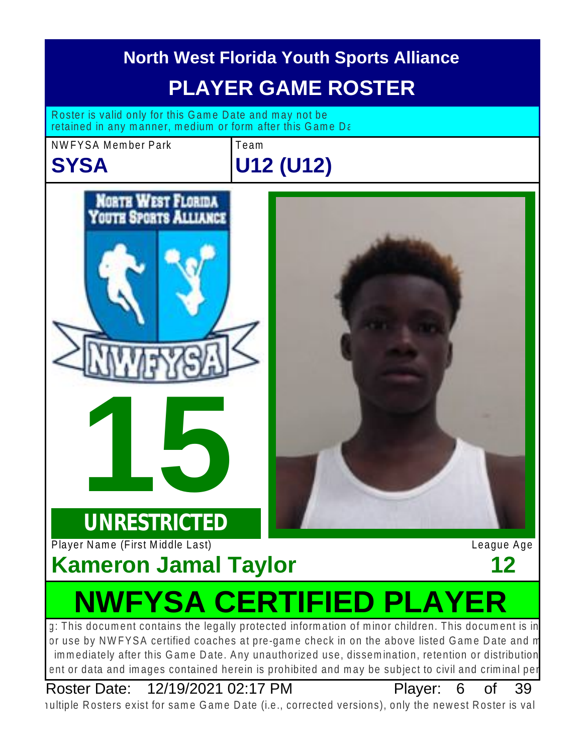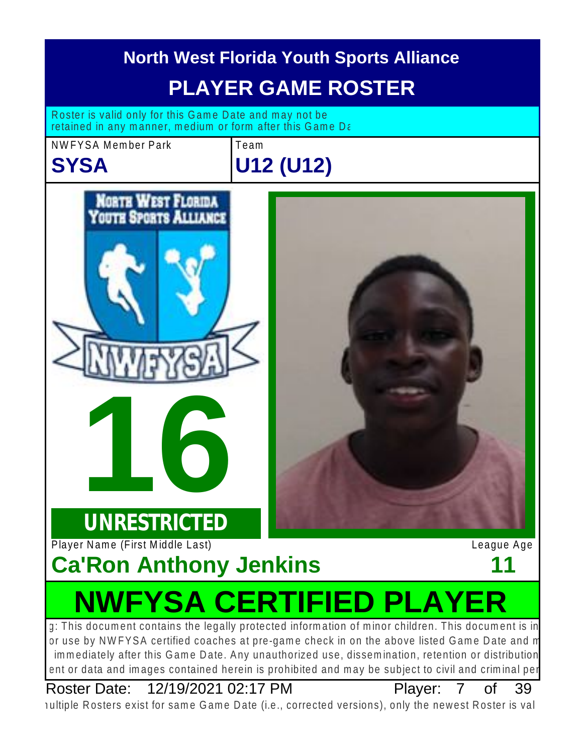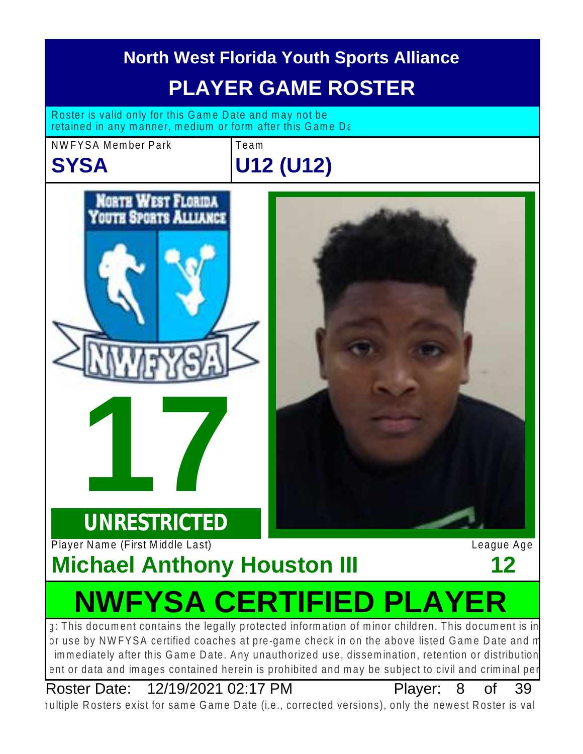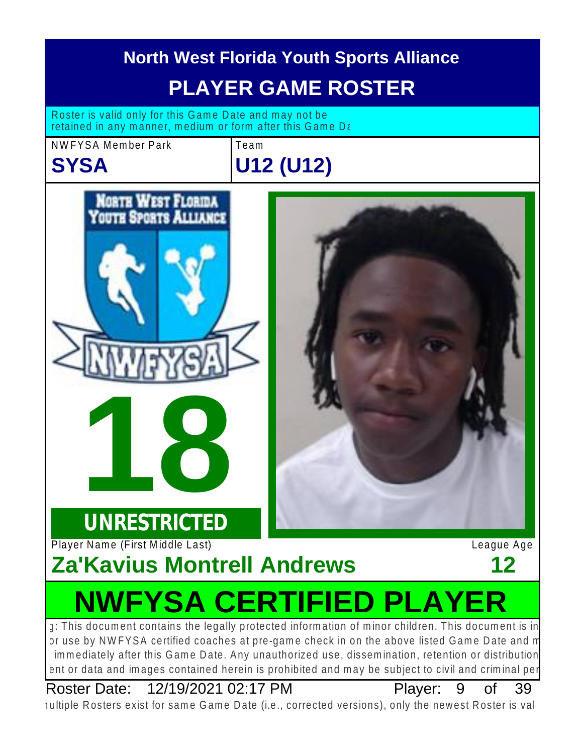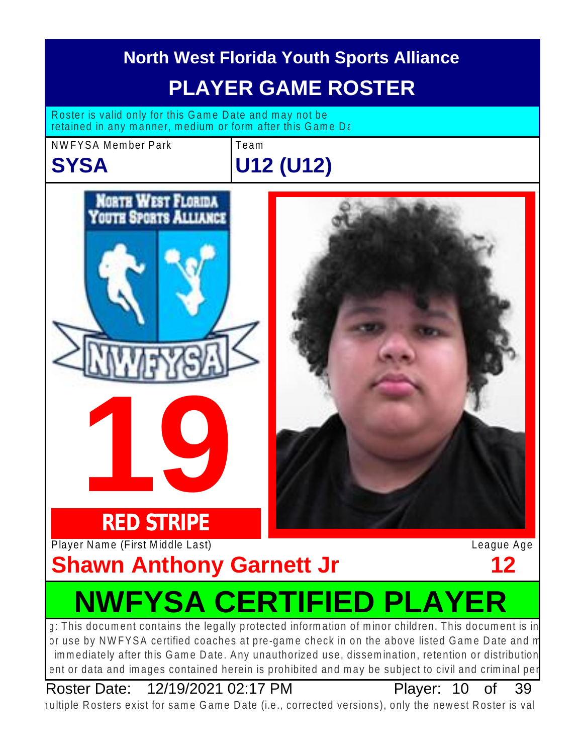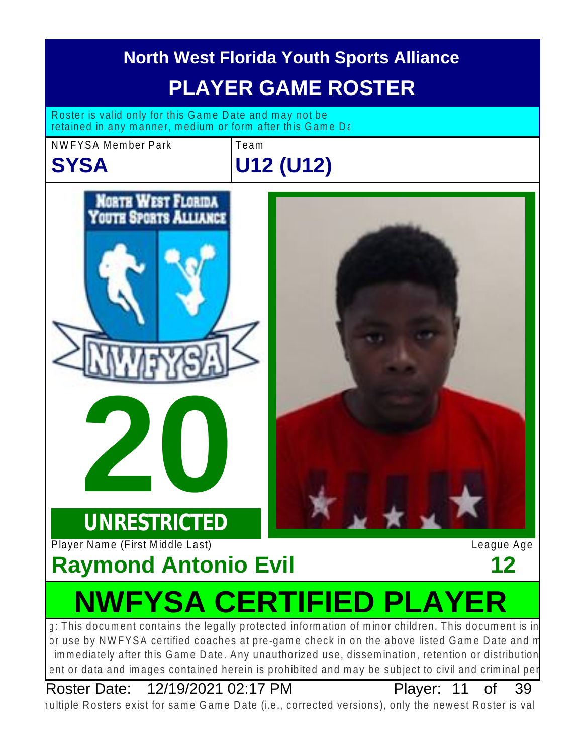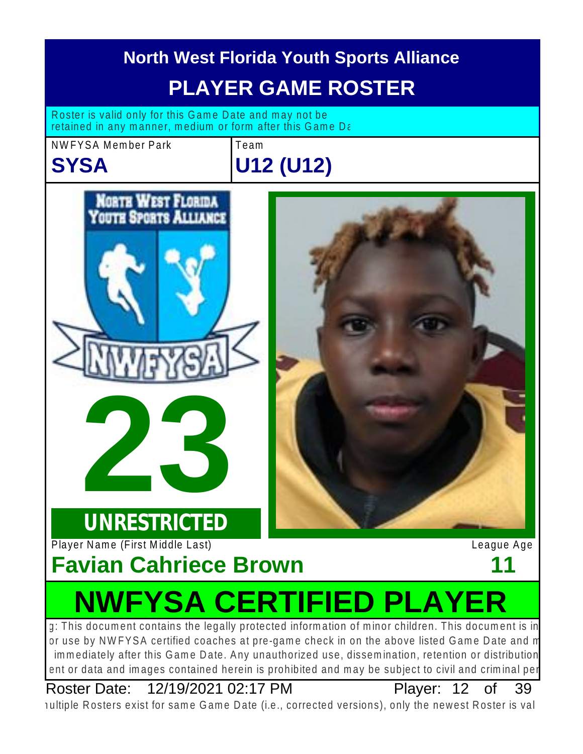

## Plaver: 12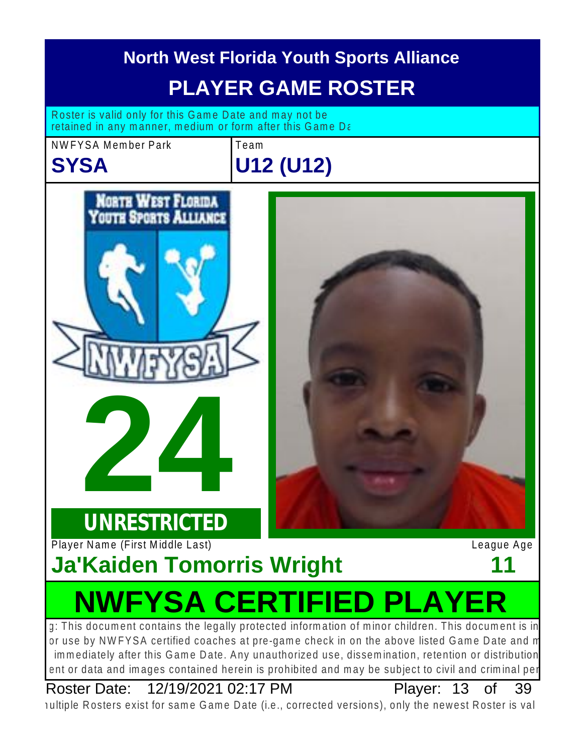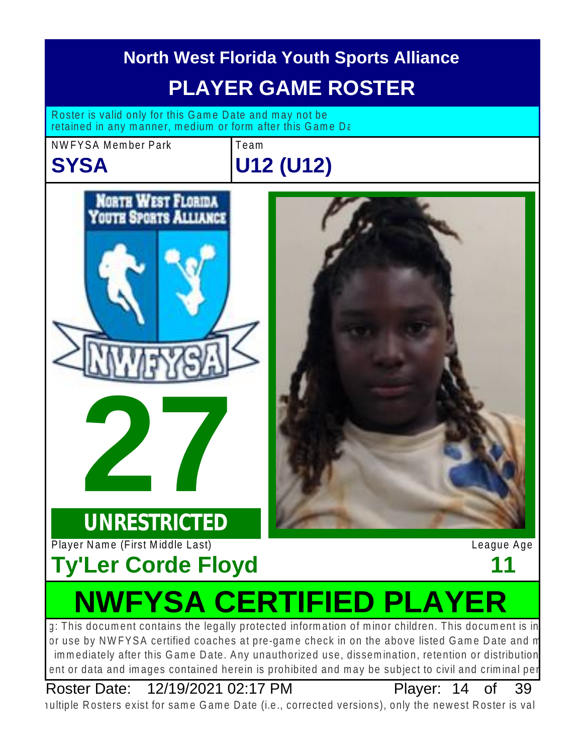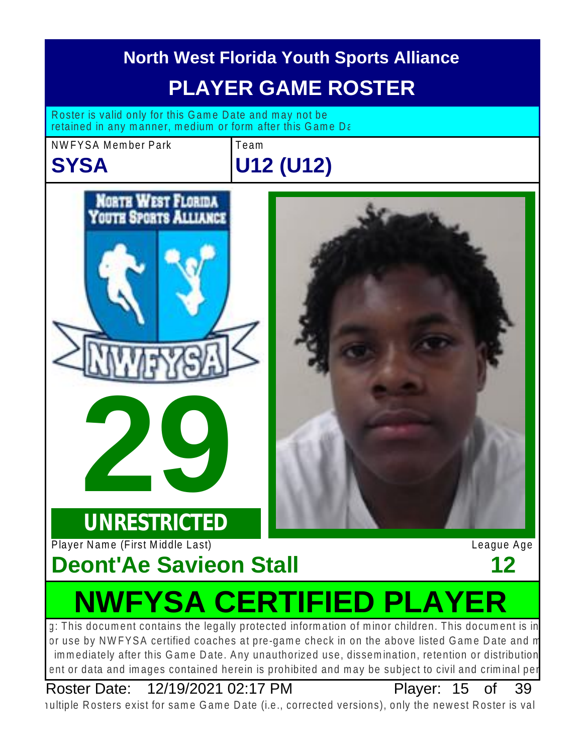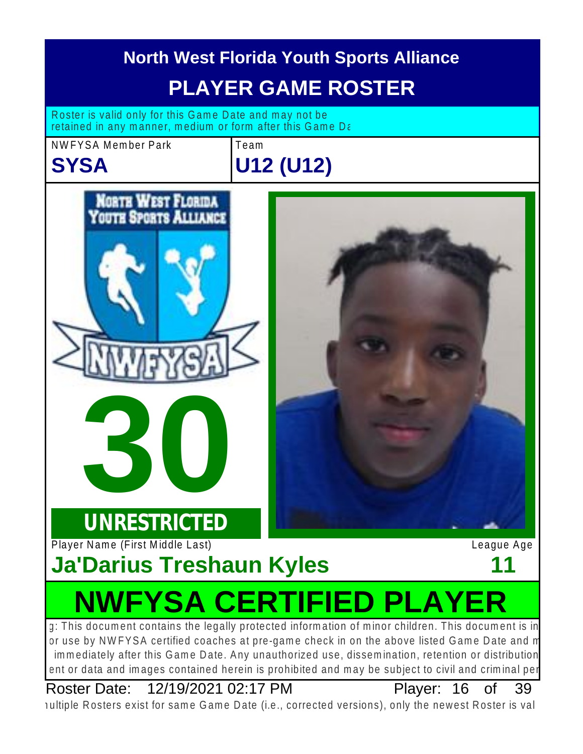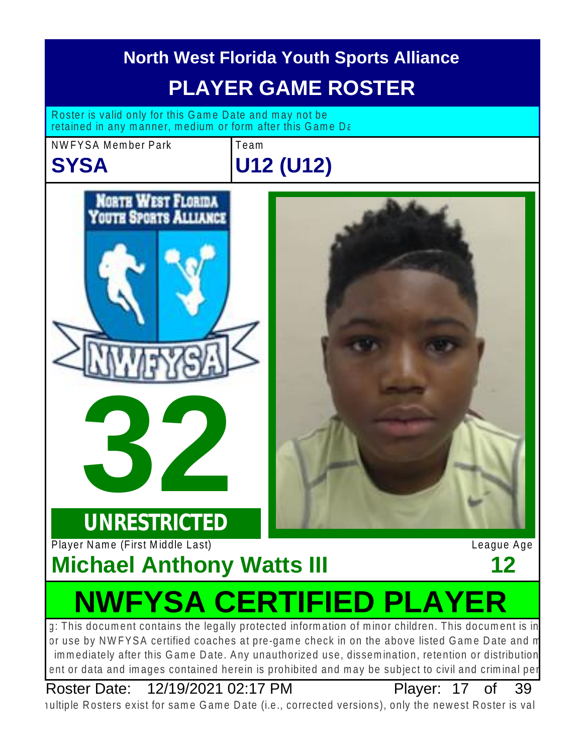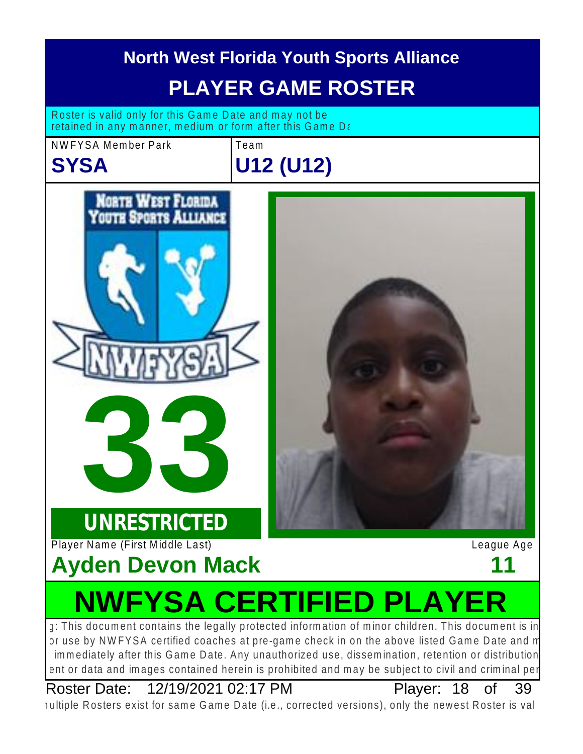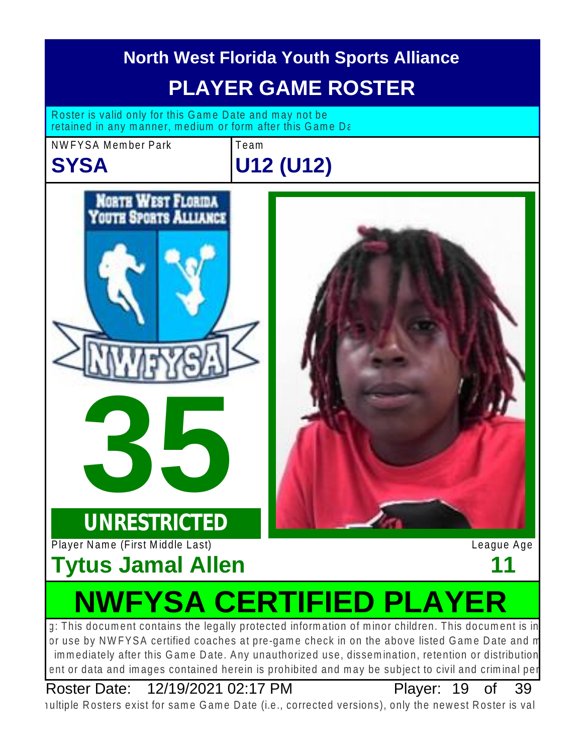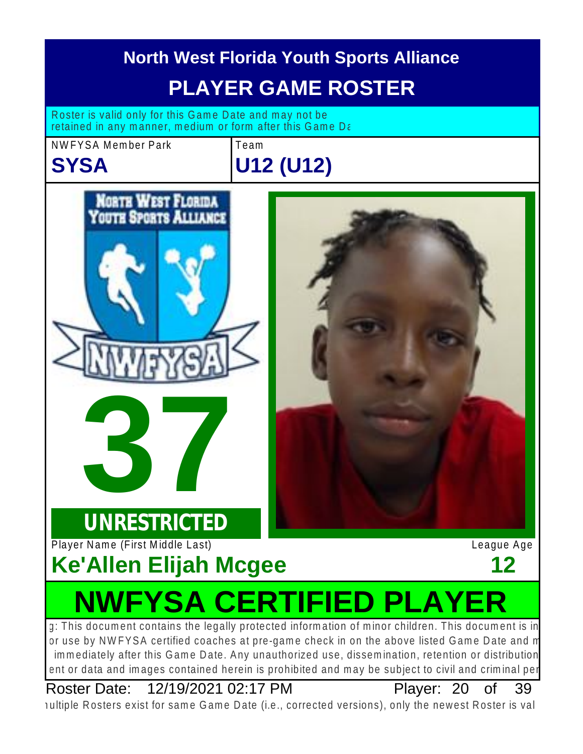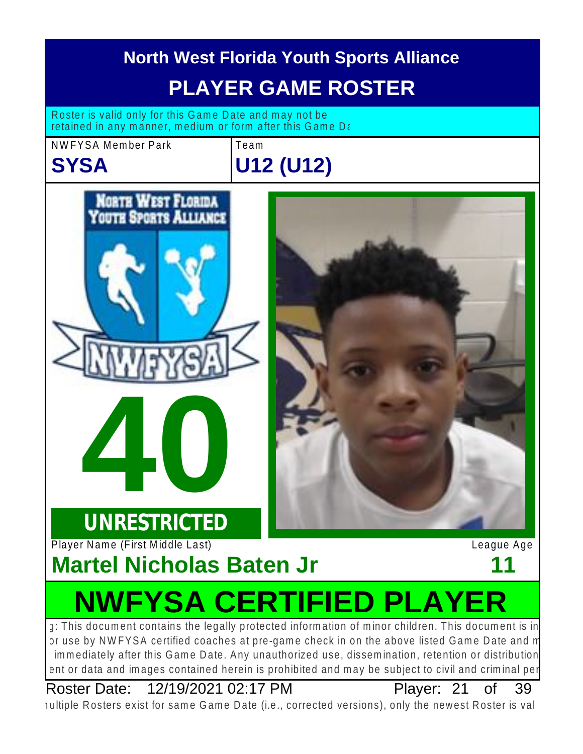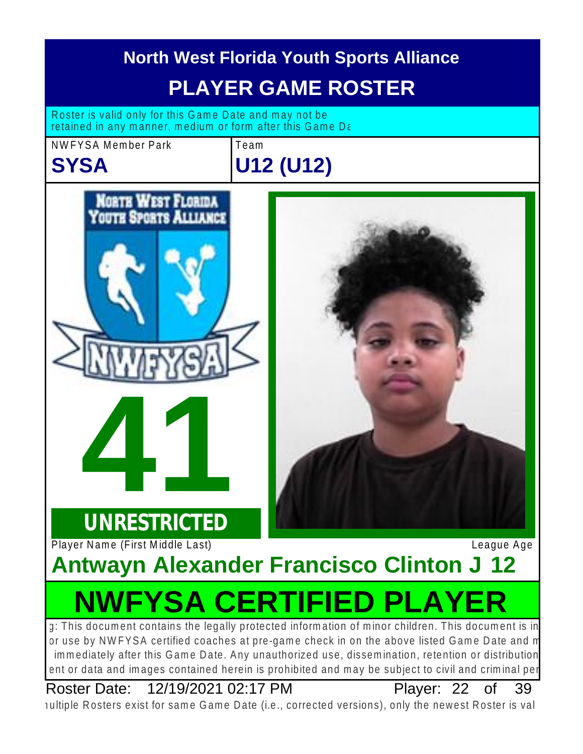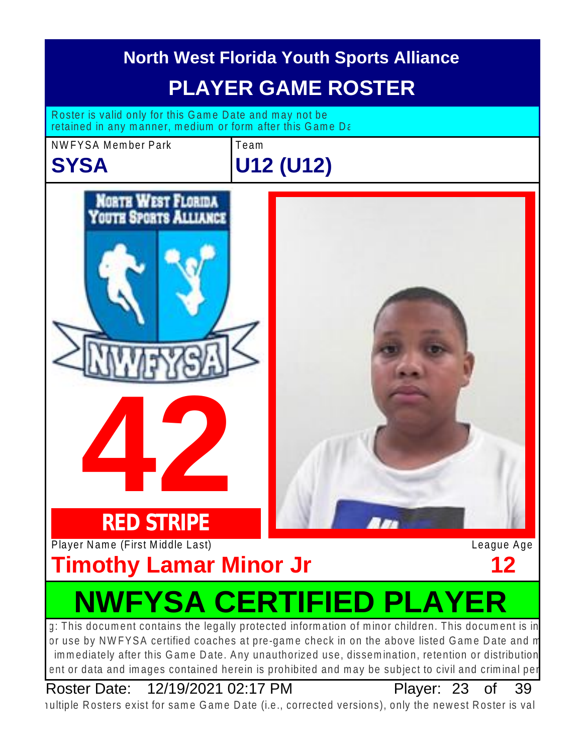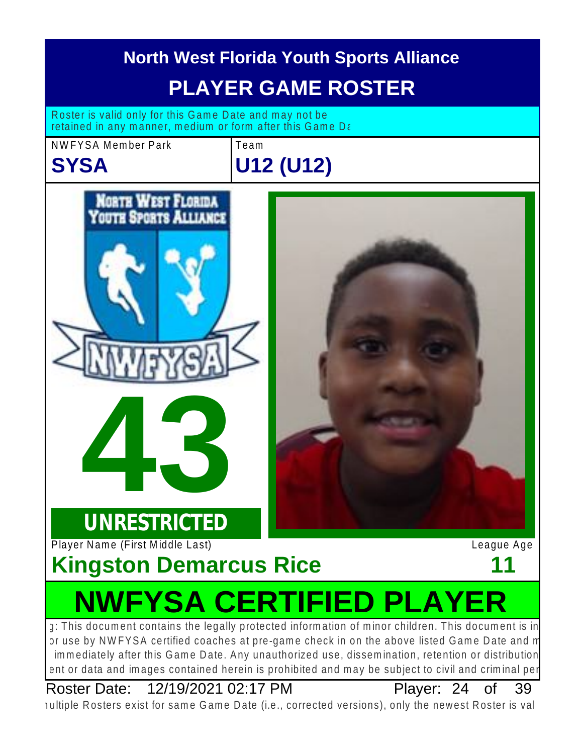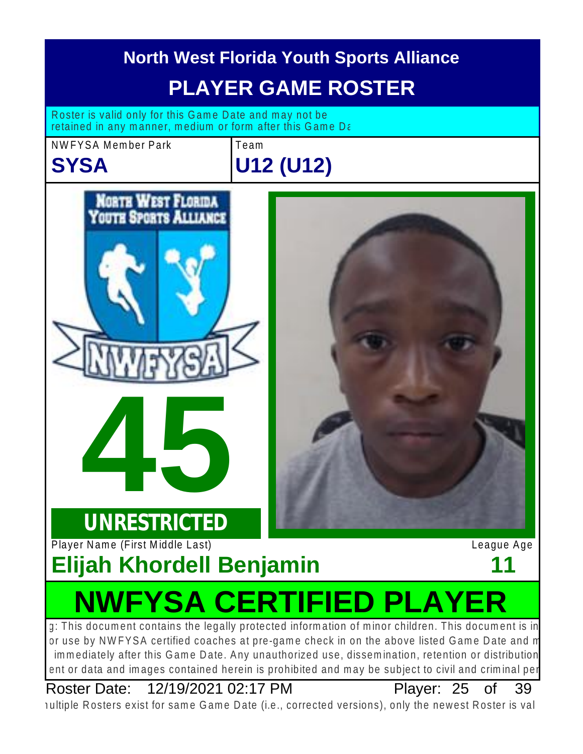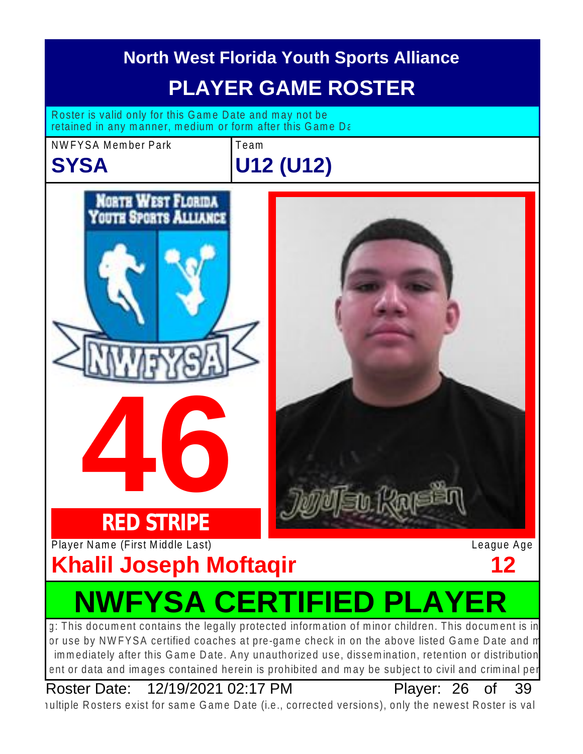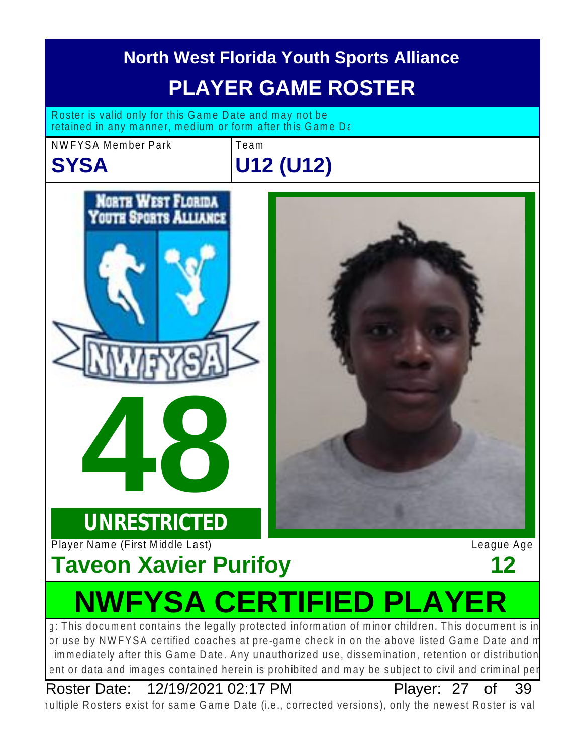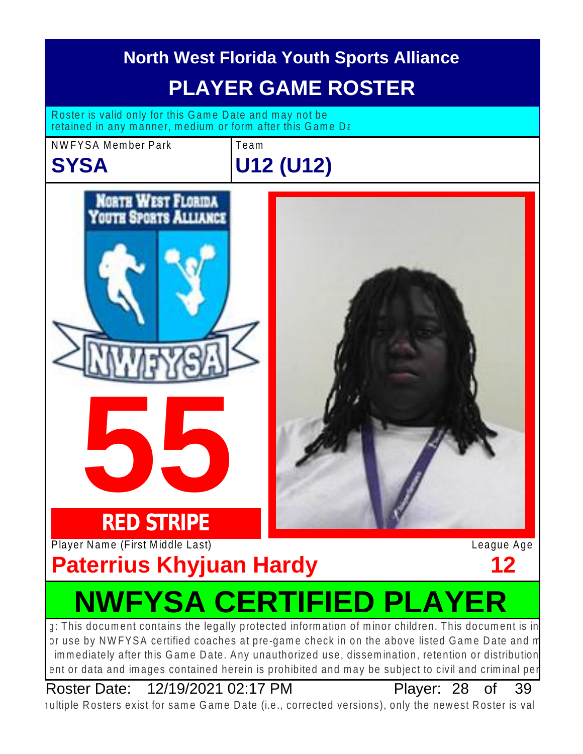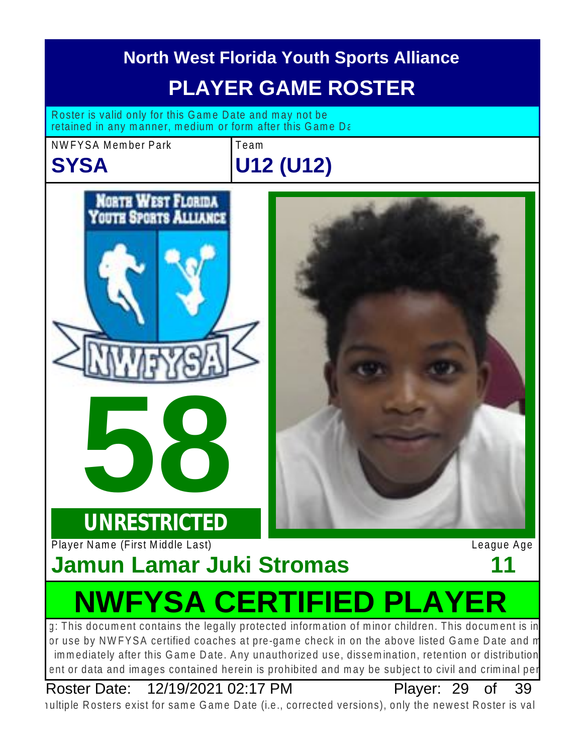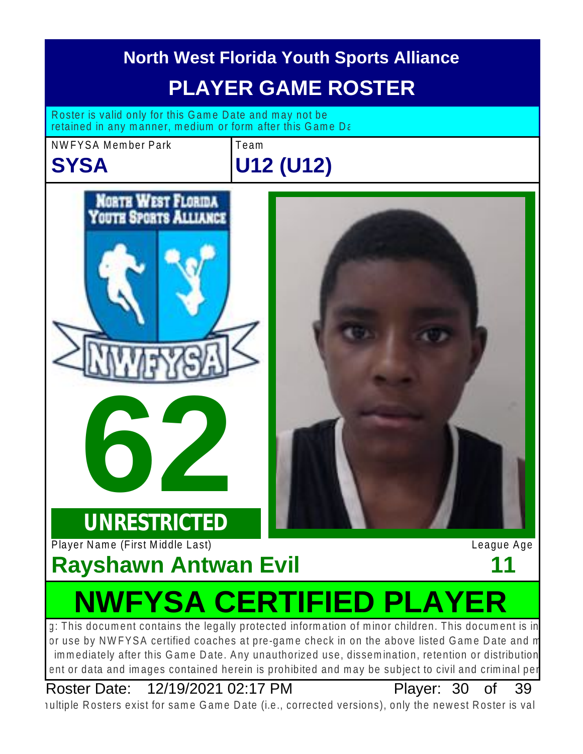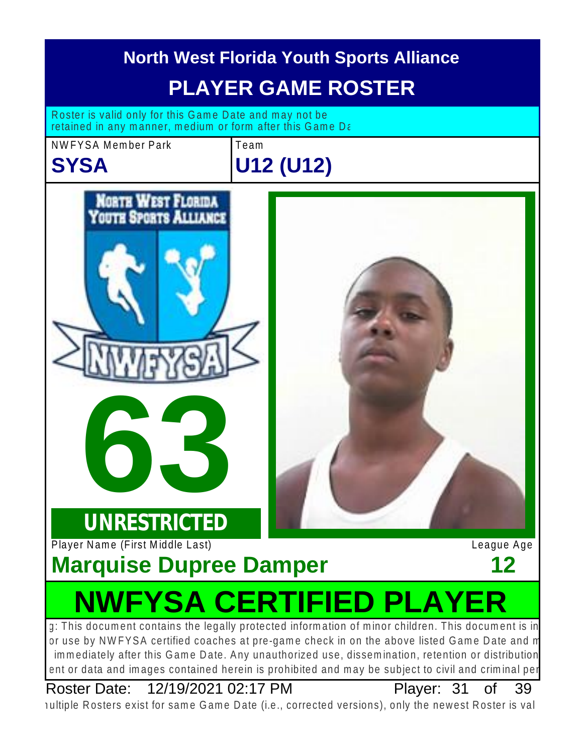![](_page_30_Picture_0.jpeg)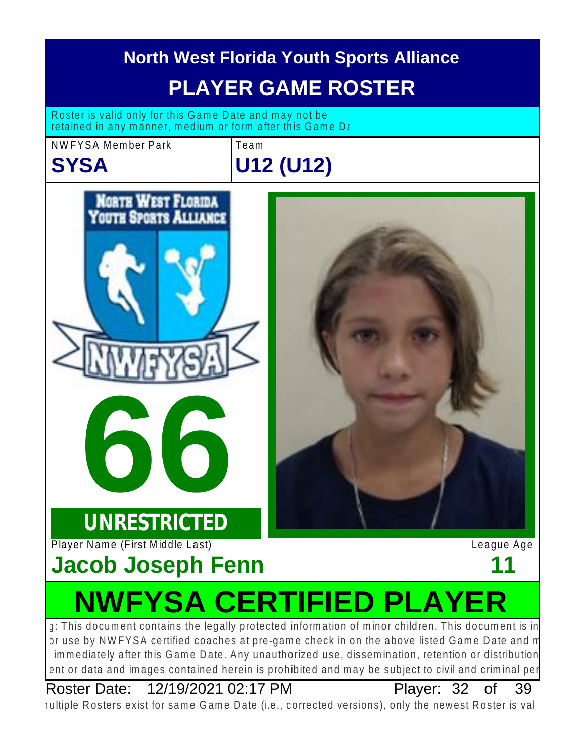![](_page_31_Picture_0.jpeg)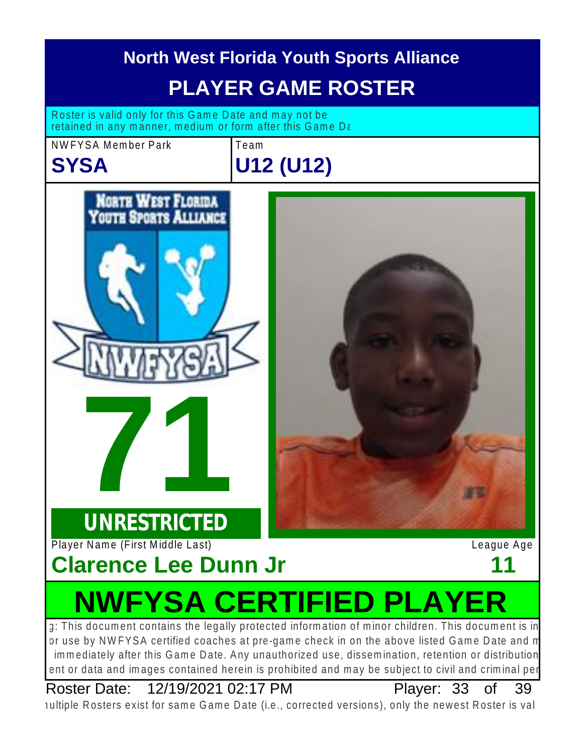![](_page_32_Picture_0.jpeg)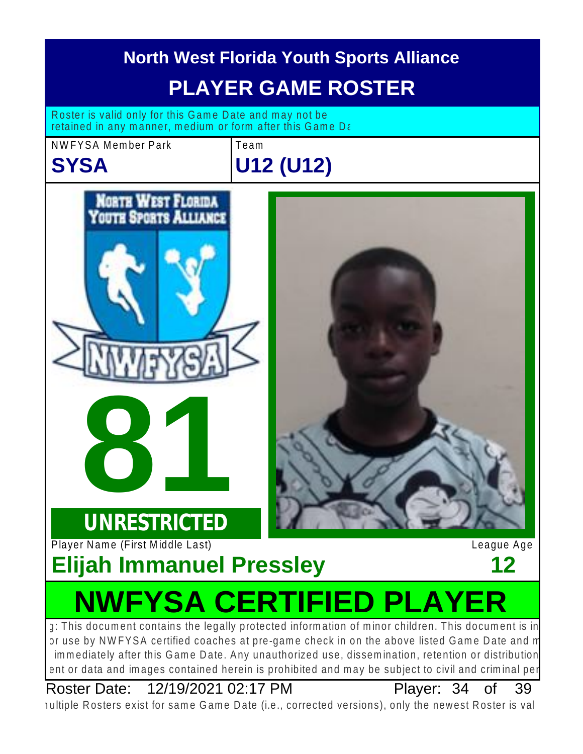![](_page_33_Picture_0.jpeg)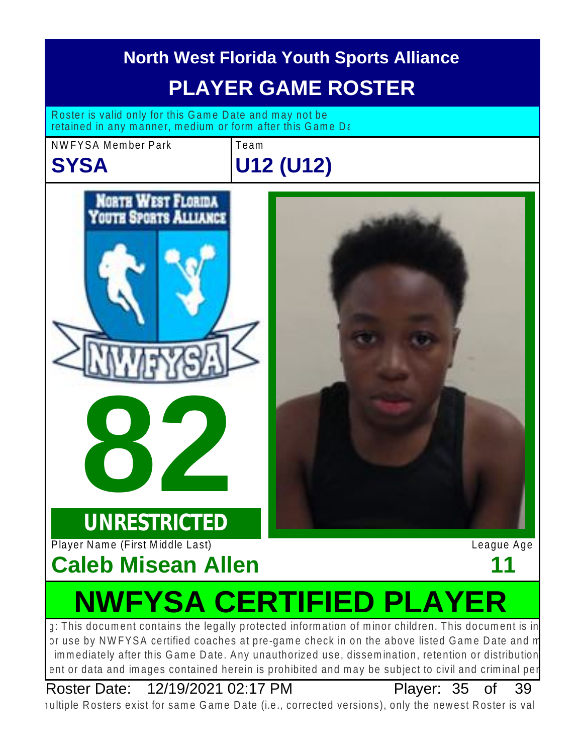![](_page_34_Picture_0.jpeg)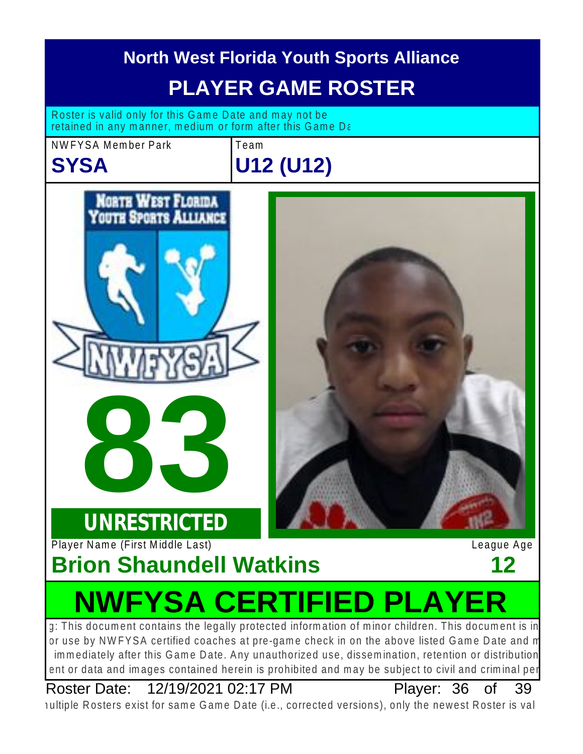![](_page_35_Picture_0.jpeg)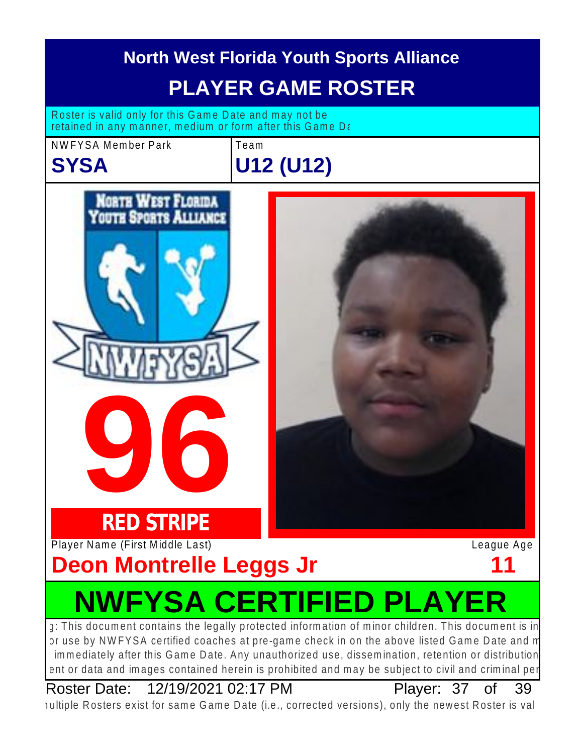![](_page_36_Picture_0.jpeg)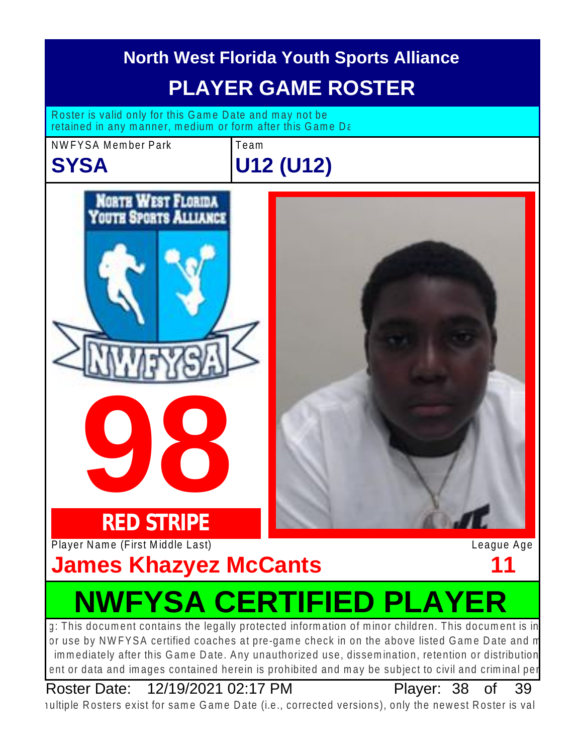![](_page_37_Picture_0.jpeg)